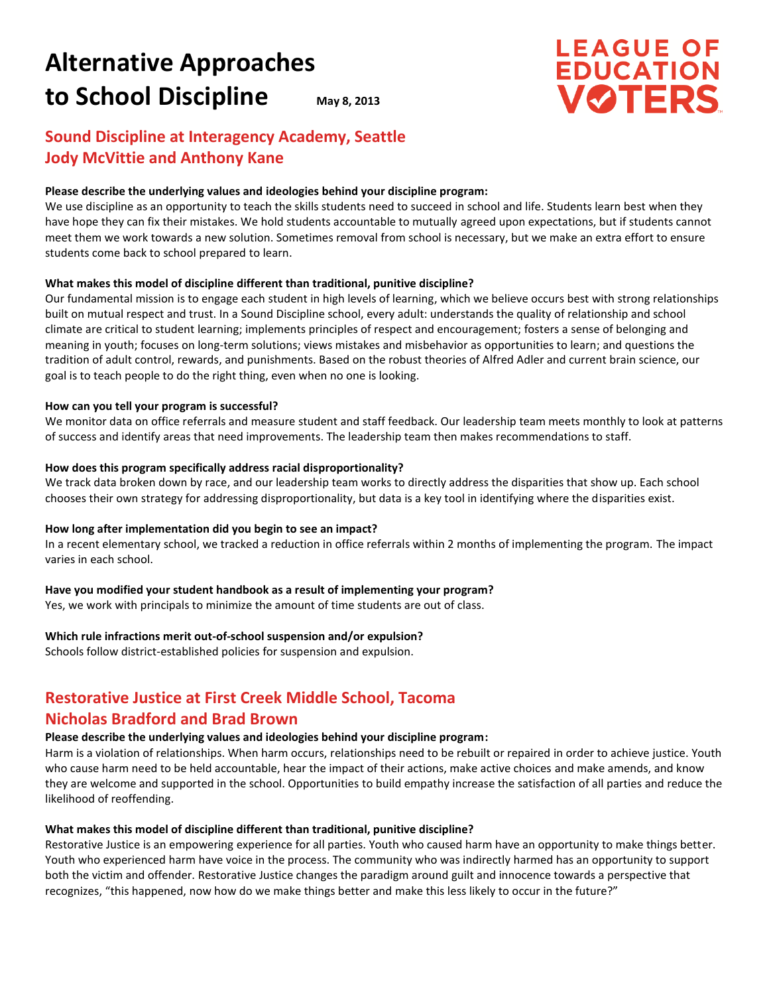# **Alternative Approaches to School Discipline May 8, 2013**

# **LEAGUE OF<br>EDUCATION VØTERS**

# **Sound Discipline at Interagency Academy, Seattle Jody McVittie and Anthony Kane**

#### **Please describe the underlying values and ideologies behind your discipline program:**

We use discipline as an opportunity to teach the skills students need to succeed in school and life. Students learn best when they have hope they can fix their mistakes. We hold students accountable to mutually agreed upon expectations, but if students cannot meet them we work towards a new solution. Sometimes removal from school is necessary, but we make an extra effort to ensure students come back to school prepared to learn.

#### **What makes this model of discipline different than traditional, punitive discipline?**

Our fundamental mission is to engage each student in high levels of learning, which we believe occurs best with strong relationships built on mutual respect and trust. In a Sound Discipline school, every adult: understands the quality of relationship and school climate are critical to student learning; implements principles of respect and encouragement; fosters a sense of belonging and meaning in youth; focuses on long-term solutions; views mistakes and misbehavior as opportunities to learn; and questions the tradition of adult control, rewards, and punishments. Based on the robust theories of Alfred Adler and current brain science, our goal is to teach people to do the right thing, even when no one is looking.

#### **How can you tell your program is successful?**

We monitor data on office referrals and measure student and staff feedback. Our leadership team meets monthly to look at patterns of success and identify areas that need improvements. The leadership team then makes recommendations to staff.

#### **How does this program specifically address racial disproportionality?**

We track data broken down by race, and our leadership team works to directly address the disparities that show up. Each school chooses their own strategy for addressing disproportionality, but data is a key tool in identifying where the disparities exist.

#### **How long after implementation did you begin to see an impact?**

In a recent elementary school, we tracked a reduction in office referrals within 2 months of implementing the program. The impact varies in each school.

#### **Have you modified your student handbook as a result of implementing your program?**

Yes, we work with principals to minimize the amount of time students are out of class.

#### **Which rule infractions merit out-of-school suspension and/or expulsion?**

Schools follow district-established policies for suspension and expulsion.

# **Restorative Justice at First Creek Middle School, Tacoma**

# **Nicholas Bradford and Brad Brown**

# **Please describe the underlying values and ideologies behind your discipline program:**

Harm is a violation of relationships. When harm occurs, relationships need to be rebuilt or repaired in order to achieve justice. Youth who cause harm need to be held accountable, hear the impact of their actions, make active choices and make amends, and know they are welcome and supported in the school. Opportunities to build empathy increase the satisfaction of all parties and reduce the likelihood of reoffending.

# **What makes this model of discipline different than traditional, punitive discipline?**

Restorative Justice is an empowering experience for all parties. Youth who caused harm have an opportunity to make things better. Youth who experienced harm have voice in the process. The community who was indirectly harmed has an opportunity to support both the victim and offender. Restorative Justice changes the paradigm around guilt and innocence towards a perspective that recognizes, "this happened, now how do we make things better and make this less likely to occur in the future?"